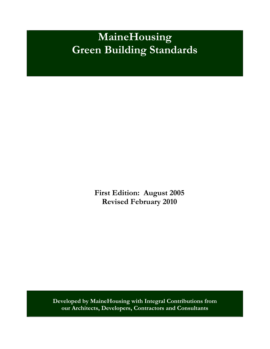**First Edition: August 2005 Revised February 2010** 

**Developed by MaineHousing with Integral Contributions from our Architects, Developers, Contractors and Consultants**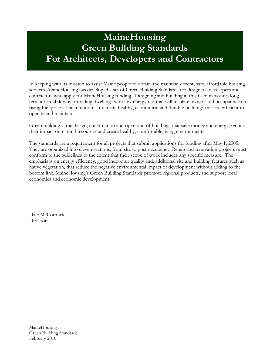# **MaineHousing Green Building Standards For Architects, Developers and Contractors**

In keeping with its mission to assist Maine people to obtain and maintain decent, safe, affordable housing services, MaineHousing has developed a set of Green Building Standards for designers, developers and contractors who apply for MaineHousing funding. Designing and building in this fashion assures longterm affordability by providing dwellings with low energy use that will insulate owners and occupants from rising fuel prices. The intention is to create healthy, economical and durable buildings that are efficient to operate and maintain.

Green building is the design, construction and operation of buildings that save money and energy, reduce their impact on natural resources and create healthy, comfortable living environments.

The standards are a requirement for all projects that submit applications for funding after May 1, 2005. They are organized into eleven sections, from site to post occupancy. Rehab and renovation projects must conform to the guidelines to the extent that their scope of work includes any specific measure. The emphasis is on energy efficiency, good indoor air quality and, additional site and building features such as native vegetation, that reduce the negative environmental impact of development without adding to the bottom line. MaineHousing's Green Building Standards promote regional products, and support local economies and economic development.

Dale McCormick **Director**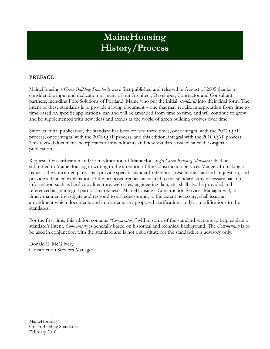# **MaineHousing History/Process**

### **PREFACE**

MaineHousing's *Green Building Standards* were first published and released in August of 2005 thanks to considerable input and dedication of many of our Architect, Developer, Contractor and Consultant partners, including Fore Solutions of Portland, Maine who put the initial *Standards* into their final form. The intent of these standards is to provide a living document – one that may require interpretation from time to time based on specific applications, can and will be amended from time to time, and will continue to grow and be supplemented with new ideas and trends as the world of green building evolves over time.

Since its initial publication, the standard has been revised three times; once integral with the 2007 QAP process, once integral with the 2008 QAP process, and this edition, integral with the 2010 QAP process. This revised document incorporates all amendments and new standards issued since the original publication.

Requests for clarification and/or modification of MaineHousing's *Green Building Standards* shall be submitted to MaineHousing in writing to the attention of the Construction Services Manger. In making a request, the concerned party shall provide specific standard references, restate the standard in question, and provide a detailed explanation of the proposed request as related to the standard. Any necessary backup information such as hard copy literature, web sites, engineering data, etc. shall also be provided and referenced as an integral part of any requests. MaineHousing's Construction Services Manager will, in a timely manner, investigate and respond to all requests and, to the extent necessary, shall issue an amendment which documents and implements any proposed clarifications and/or modifications to the standards.

For the first time, this edition contains *"Commentary"* within some of the standard sections to help explain a standard's intent. *Commentary* is generally based on historical and technical background. The *Commentary* is to be used in conjunction with the standard and is not a substitute for the standard; it is advisory only.

Donald R. McGilvery Construction Services Manager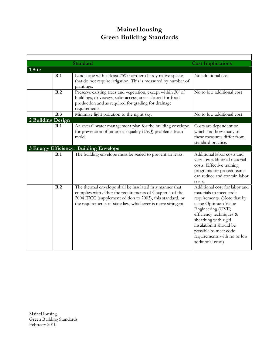|                   |                | <b>Standard</b>                                                                                                                                                                                                                                   | <b>Cost Implications</b>                                                                                                                                                                                                                                                                      |
|-------------------|----------------|---------------------------------------------------------------------------------------------------------------------------------------------------------------------------------------------------------------------------------------------------|-----------------------------------------------------------------------------------------------------------------------------------------------------------------------------------------------------------------------------------------------------------------------------------------------|
| 1 Site            |                |                                                                                                                                                                                                                                                   |                                                                                                                                                                                                                                                                                               |
|                   | R <sub>1</sub> | Landscape with at least 75% northern hardy native species<br>that do not require irrigation. This is measured by number of<br>plantings.                                                                                                          | No additional cost                                                                                                                                                                                                                                                                            |
|                   | R <sub>2</sub> | Preserve existing trees and vegetation, except within 30' of<br>buildings, driveways, solar access, areas cleared for food<br>production and as required for grading for drainage<br>requirements.                                                | No to low additional cost                                                                                                                                                                                                                                                                     |
|                   | R <sub>3</sub> | Minimize light pollution to the night sky.                                                                                                                                                                                                        | No to low additional cost                                                                                                                                                                                                                                                                     |
| 2 Building Design |                |                                                                                                                                                                                                                                                   |                                                                                                                                                                                                                                                                                               |
|                   | R <sub>1</sub> | An overall water management plan for the building envelope<br>for prevention of indoor air quality (IAQ) problems from<br>mold.                                                                                                                   | Costs are dependent on<br>which and how many of<br>these measures differ from<br>standard practice.                                                                                                                                                                                           |
|                   |                | 3 Energy Efficiency: Building Envelope                                                                                                                                                                                                            |                                                                                                                                                                                                                                                                                               |
|                   | R <sub>1</sub> | The building envelope must be sealed to prevent air leaks.                                                                                                                                                                                        | Additional labor costs and<br>very low additional material<br>costs. Effective training<br>programs for project teams<br>can reduce and contain labor<br>costs.                                                                                                                               |
|                   | R <sub>2</sub> | The thermal envelope shall be insulated in a manner that<br>complies with either the requirements of Chapter 4 of the<br>2004 IECC (supplement edition to 2003), this standard, or<br>the requirements of state law, whichever is more stringent. | Additional cost for labor and<br>materials to meet code<br>requirements. (Note that by<br>using Optimum Value<br>Engineering (OVE)<br>efficiency techniques &<br>sheathing with rigid<br>insulation it should be<br>possible to meet code<br>requirements with no or low<br>additional cost.) |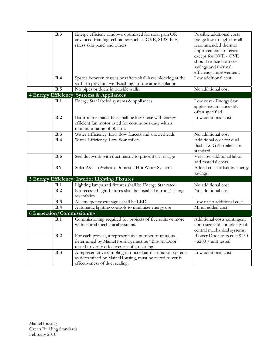| R <sub>3</sub> | Energy efficient windows optimized for solar gain OR<br>advanced framing techniques such as OVE, SIPS, ICF,<br>stress skin panel and others.                  | Possible additional costs<br>(range low to high) for all<br>recommended thermal<br>improvement strategies<br>except for OVE - OVE<br>should realize both cost<br>savings and thermal<br>efficiency improvement. |
|----------------|---------------------------------------------------------------------------------------------------------------------------------------------------------------|-----------------------------------------------------------------------------------------------------------------------------------------------------------------------------------------------------------------|
| R <sub>4</sub> | Spaces between trusses or rafters shall have blocking at the                                                                                                  | Low additional cost                                                                                                                                                                                             |
|                | soffit to prevent "windwashing" of the attic insulation.                                                                                                      |                                                                                                                                                                                                                 |
| <b>R</b> 5     | No pipes or ducts in outside walls.                                                                                                                           | No additional cost                                                                                                                                                                                              |
|                | 4 Energy Efficiency: Systems & Appliances                                                                                                                     |                                                                                                                                                                                                                 |
| R <sub>1</sub> | Energy Star labeled systems & appliances                                                                                                                      | Low cost - Energy Star<br>appliances are currently<br>often specified                                                                                                                                           |
| R <sub>2</sub> | Bathroom exhaust fans shall be low noise with energy<br>efficient fan motor rated for continuous duty with a<br>minimum rating of 50 cfm.                     | Low additional cost                                                                                                                                                                                             |
| R <sub>3</sub> | Water Efficiency: Low flow faucets and showerheads                                                                                                            | No additional cost                                                                                                                                                                                              |
| R <sub>4</sub> | Water Efficiency: Low flow toilets                                                                                                                            | Additional cost for dual<br>flush, 1.6 GPF toilets are<br>standard.                                                                                                                                             |
| <b>R</b> 5     | Seal ductwork with duct mastic to prevent air leakage                                                                                                         | Very low additional labor<br>and material costs                                                                                                                                                                 |
| R <sub>6</sub> | Solar Assist (Preheat) Domestic Hot Water Systems                                                                                                             | Added costs offset by energy<br>savings                                                                                                                                                                         |
|                | <b>5 Energy Efficiency: Interior Lighting Fixtures</b>                                                                                                        |                                                                                                                                                                                                                 |
| $\mathbf{R}1$  | Lighting lamps and fixtures shall be Energy Star rated.                                                                                                       | No additional cost                                                                                                                                                                                              |
| R <sub>2</sub> | No recessed light fixtures shall be installed in roof/ceiling<br>assemblies.                                                                                  | No additional cost                                                                                                                                                                                              |
| R <sub>3</sub> | All emergency exit signs shall be LED.                                                                                                                        | Low or no additional cost                                                                                                                                                                                       |
| R <sub>4</sub> | Automatic lighting controls to minimize energy use                                                                                                            | Minor added cost                                                                                                                                                                                                |
|                | 6 Inspection/Commissioning                                                                                                                                    |                                                                                                                                                                                                                 |
| R <sub>1</sub> | Commissioning required for projects of five units or more<br>with central mechanical systems.                                                                 | Additional costs contingent<br>upon size and complexity of<br>central mechanical systems.                                                                                                                       |
| R <sub>2</sub> | For each project, a representative number of units, as<br>determined by MaineHousing, must be "Blower Door"<br>tested to verify effectiveness of air sealing. | Blower Door tests cost \$150<br>$-$ \$200 / unit tested                                                                                                                                                         |
| R <sub>3</sub> | A representative sampling of ducted air distribution systems,<br>as determined by MaineHousing, must be tested to verify<br>effectiveness of duct sealing.    | Low additional cost                                                                                                                                                                                             |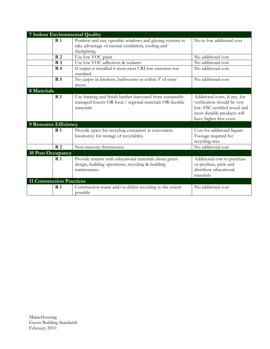|                                  |                | 7 Indoor Environmental Quality                                                                                                     |                                                                                                                                                       |
|----------------------------------|----------------|------------------------------------------------------------------------------------------------------------------------------------|-------------------------------------------------------------------------------------------------------------------------------------------------------|
|                                  | R <sub>1</sub> | Position and size operable windows and glazing systems to                                                                          | No to low additional cost                                                                                                                             |
|                                  |                | take advantage of natural ventilation, cooling and                                                                                 |                                                                                                                                                       |
|                                  | R <sub>2</sub> | daylighting.<br>Use low VOC paint                                                                                                  | No additional cost                                                                                                                                    |
|                                  | R <sub>3</sub> | Use low VOC adhesives & sealants                                                                                                   | No additional cost                                                                                                                                    |
|                                  | R <sub>4</sub> |                                                                                                                                    | No additional cost                                                                                                                                    |
|                                  |                | If carpet is installed it must meet CRI low emission test<br>standard.                                                             |                                                                                                                                                       |
|                                  | <b>R</b> 5     | No carpet in kitchens, bathrooms or within 3' of entry                                                                             | No additional cost                                                                                                                                    |
|                                  |                | doors.                                                                                                                             |                                                                                                                                                       |
| 8 Materials                      |                |                                                                                                                                    |                                                                                                                                                       |
|                                  | R <sub>1</sub> | Use framing and finish lumber harvested from sustainably<br>managed forests OR local / regional materials OR durable<br>materials. | Additional costs, if any, for<br>verification should be very<br>low. FSC certified wood and<br>most durable products will<br>have higher first costs. |
| 9 Resource Efficiency            |                |                                                                                                                                    |                                                                                                                                                       |
|                                  | R <sub>1</sub> | Provide space for recycling containers at convenient<br>location(s) for storage of recyclables.                                    | Cost for additional Square<br>Footage required for<br>recycling area                                                                                  |
|                                  | R <sub>2</sub> | Non-mercury thermostats                                                                                                            | No additional cost                                                                                                                                    |
| 10 Post Occupancy                |                |                                                                                                                                    |                                                                                                                                                       |
|                                  | R <sub>1</sub> | Provide tenants with educational materials about green<br>design, building operations, recycling & building<br>maintenance.        | Additional cost to purchase<br>or produce, print and<br>distribute educational<br>materials                                                           |
| <b>11 Construction Practices</b> |                |                                                                                                                                    |                                                                                                                                                       |
|                                  | R <sub>1</sub> | Construction waste and/or debris recycling to the extent<br>possible                                                               | No additional cost                                                                                                                                    |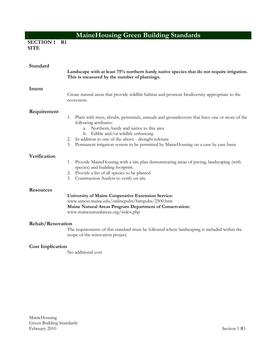**SECTION 1 R1 SITE**

| Standard                | Landscape with at least 75% northern hardy native species that do not require irrigation.<br>This is measured by the number of plantings.                                                                                                                                                                                                                          |
|-------------------------|--------------------------------------------------------------------------------------------------------------------------------------------------------------------------------------------------------------------------------------------------------------------------------------------------------------------------------------------------------------------|
| Intent                  | Create natural areas that provide wildlife habitat and promote biodiversity appropriate to the<br>ecosystem.                                                                                                                                                                                                                                                       |
| Requirement             | Plant with trees, shrubs, perennials, annuals and groundcovers that have one or more of the<br>1.<br>following attributes:<br>a. Northern, hardy and native to this area<br>b. Edible and/or wildlife enhancing<br>2. In addition to one of the above - drought tolerant<br>3. Permanent irrigation system to be permitted by MaineHousing on a case by case basis |
| Verification            | Provide Maine Housing with a site plan demonstrating areas of paving, landscaping (with<br>1.<br>species) and building footprint.<br>2. Provide a list of all species to be planted<br>3. Construction Analyst to verify on site                                                                                                                                   |
| <b>Resources</b>        | <b>University of Maine Cooperative Extension Service:</b><br>www.umext.maine.edu/onlinepubs/htmpubs/2500.htm<br>Maine Natural Areas Program Department of Conservation:<br>www.mainenaturalareas.org/index.php                                                                                                                                                     |
| <b>Rehab/Renovation</b> | The requirements of this standard must be followed where landscaping is included within the<br>scope of the renovation project.                                                                                                                                                                                                                                    |
| <b>Cost Implication</b> | No additional cost                                                                                                                                                                                                                                                                                                                                                 |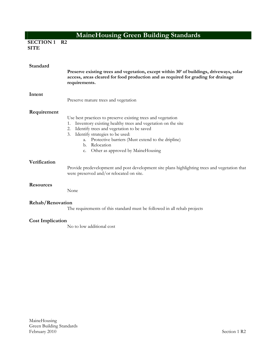**SECTION 1 R2 SITE**

| Standard                | Preserve existing trees and vegetation, except within 30' of buildings, driveways, solar<br>access, areas cleared for food production and as required for grading for drainage<br>requirements.                                                                                                                                                   |
|-------------------------|---------------------------------------------------------------------------------------------------------------------------------------------------------------------------------------------------------------------------------------------------------------------------------------------------------------------------------------------------|
| Intent                  | Preserve mature trees and vegetation                                                                                                                                                                                                                                                                                                              |
| Requirement             | Use best practices to preserve existing trees and vegetation<br>Inventory existing healthy trees and vegetation on the site<br>2. Identify trees and vegetation to be saved<br>3. Identify strategies to be used:<br>Protective barriers (Must extend to the dripline)<br>a.<br>b. Relocation<br>Other as approved by MaineHousing<br>$C_{\star}$ |
| Verification            | Provide predevelopment and post development site plans highlighting trees and vegetation that<br>were preserved and/or relocated on site.                                                                                                                                                                                                         |
| <b>Resources</b>        | None                                                                                                                                                                                                                                                                                                                                              |
| Rehab/Renovation        | The requirements of this standard must be followed in all rehab projects                                                                                                                                                                                                                                                                          |
| <b>Cost Implication</b> | No to low additional cost                                                                                                                                                                                                                                                                                                                         |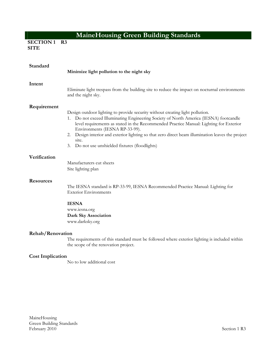**SECTION 1 R3 SITE**

| Standard                | Minimize light pollution to the night sky                                                                                                                                                                                                                                                                                                                                                                                                                                 |
|-------------------------|---------------------------------------------------------------------------------------------------------------------------------------------------------------------------------------------------------------------------------------------------------------------------------------------------------------------------------------------------------------------------------------------------------------------------------------------------------------------------|
| Intent                  | Eliminate light trespass from the building site to reduce the impact on nocturnal environments<br>and the night sky.                                                                                                                                                                                                                                                                                                                                                      |
| Requirement             | Design outdoor lighting to provide security without creating light pollution.<br>Do not exceed Illuminating Engineering Society of North America (IESNA) footcandle<br>1.<br>level requirements as stated in the Recommended Practice Manual: Lighting for Exterior<br>Environments (IESNA RP-33-99).<br>2. Design interior and exterior lighting so that zero direct beam illumination leaves the project<br>site.<br>Do not use unshielded fixtures (floodlights)<br>3. |
| Verification            | Manufacturers cut sheets<br>Site lighting plan                                                                                                                                                                                                                                                                                                                                                                                                                            |
| <b>Resources</b>        | The IESNA standard is RP-33-99, IESNA Recommended Practice Manual: Lighting for<br><b>Exterior Environments</b>                                                                                                                                                                                                                                                                                                                                                           |
|                         | <b>IESNA</b><br>www.iesna.org<br>Dark Sky Association<br>www.darksky.org                                                                                                                                                                                                                                                                                                                                                                                                  |
| Rehab/Renovation        | The requirements of this standard must be followed where exterior lighting is included within<br>the scope of the renovation project.                                                                                                                                                                                                                                                                                                                                     |
| <b>Cost Implication</b> | No to low additional cost                                                                                                                                                                                                                                                                                                                                                                                                                                                 |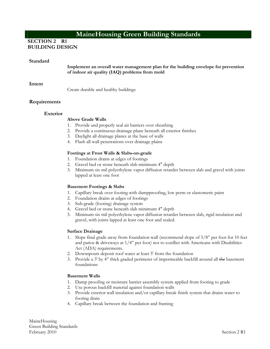### **SECTION 2 R1 BUILDING DESIGN**

#### **Standard**

**Implement an overall water management plan for the building envelope for prevention of indoor air quality (IAQ) problems from mold** 

#### **Intent**

Create durable and healthy buildings

# **Requirements**

#### **Exterior**

#### **Above Grade Walls**

- 1. Provide and properly seal air barriers over sheathing
- 2. Provide a continuous drainage plane beneath all exterior finishes
- 3. Daylight all drainage planes at the base of walls
- 4. Flash all wall penetrations over drainage plains

#### **Footings at Frost Walls & Slabs-on-grade**

- 1. Foundation drains at edges of footings
- 2. Gravel bed or stone beneath slab minimum 4" depth
- 3. Minimum six mil polyethylene vapor diffusion retarder between slab and gravel with joints lapped at least one foot

#### **Basement Footings & Slabs**

- 1. Capillary break over footing with dampproofing, low perm or elastomeric paint
- 2. Foundation drains at edges of footings
- 3. Sub-grade (footing) drainage system
- 4. Gravel bed or stone beneath slab minimum 4" depth
- 5. Minimum six mil polyethylene vapor diffusion retarder between slab, rigid insulation and gravel, with joints lapped at least one foot and sealed.

#### **Surface Drainage**

- 1. Slope final grade away from foundation wall (recommend slope of 5/8" per foot for 10 feet and patios & driveways at  $1/4$ " per foot) not to conflict with Americans with Disabilities Act (ADA) requirements.
- 2. Downspouts deposit roof water at least 5' from the foundation
- 3. Provide a 3' by 4" thick graded perimeter of impermeable backfill around all the basement foundations

#### **Basement Walls**

- 1. Damp proofing or moisture barrier assembly system applied from footing to grade
- 2. Use porous backfill material against foundation walls
- 3. Provide exterior wall insulation and/or capillary break finish system that drains water to footing drain
- 4. Capillary break between the foundation and framing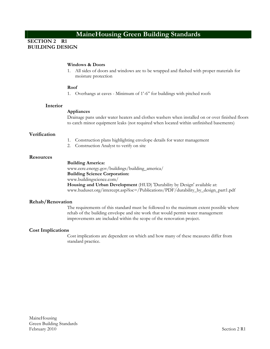### **SECTION 2 R1 BUILDING DESIGN**

#### **Windows & Doors**

1. All sides of doors and windows are to be wrapped and flashed with proper materials for moisture protection

#### **Roof**

1. Overhangs at eaves - Minimum of 1'-6" for buildings with pitched roofs

#### **Interior**

#### **Appliances**

Drainage pans under water heaters and clothes washers when installed on or over finished floors to catch minor equipment leaks (not required when located within unfinished basements)

#### **Verification**

- 1. Construction plans highlighting envelope details for water management
- 2. Construction Analyst to verify on site

#### **Resources**

#### **Building America:**

www.eere.energy.gov/buildings/building\_america/ **Building Science Corporation:**  www.buildingscience.com/ **Housing and Urban Development** (HUD) 'Durability by Design' available at:

www.huduser.org/intercept.asp?loc=/Publications/PDF/durability\_by\_design\_part1.pdf

#### **Rehab/Renovation**

The requirements of this standard must be followed to the maximum extent possible where rehab of the building envelope and site work that would permit water management improvements are included within the scope of the renovation project.

#### **Cost Implications**

Cost implications are dependent on which and how many of these measures differ from standard practice.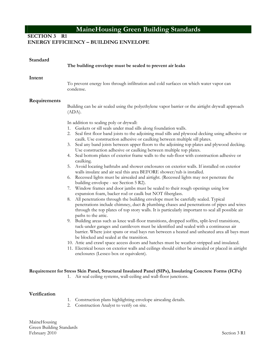### **SECTION 3 R1 ENERGY EFFICIENCY – BUILDING ENVELOPE**

| Standard     | The building envelope must be sealed to prevent air leaks                                                                                                                                                                                                                                                                                                                                                                                                                                                                                                                                                                                                                                                                                                                                                                                                                                                                                                                                                                                                                                                                                                                                                                                                                                                                                                                                                                                                                                                                                                                                                                                                                                                                                                                                                                                                                                                                                                                                                                                                                                   |
|--------------|---------------------------------------------------------------------------------------------------------------------------------------------------------------------------------------------------------------------------------------------------------------------------------------------------------------------------------------------------------------------------------------------------------------------------------------------------------------------------------------------------------------------------------------------------------------------------------------------------------------------------------------------------------------------------------------------------------------------------------------------------------------------------------------------------------------------------------------------------------------------------------------------------------------------------------------------------------------------------------------------------------------------------------------------------------------------------------------------------------------------------------------------------------------------------------------------------------------------------------------------------------------------------------------------------------------------------------------------------------------------------------------------------------------------------------------------------------------------------------------------------------------------------------------------------------------------------------------------------------------------------------------------------------------------------------------------------------------------------------------------------------------------------------------------------------------------------------------------------------------------------------------------------------------------------------------------------------------------------------------------------------------------------------------------------------------------------------------------|
| Intent       | To prevent energy loss through infiltration and cold surfaces on which water vapor can<br>condense.                                                                                                                                                                                                                                                                                                                                                                                                                                                                                                                                                                                                                                                                                                                                                                                                                                                                                                                                                                                                                                                                                                                                                                                                                                                                                                                                                                                                                                                                                                                                                                                                                                                                                                                                                                                                                                                                                                                                                                                         |
| Requirements | Building can be air sealed using the polyethylene vapor barrier or the airtight drywall approach<br>(ADA).<br>In addition to sealing poly or drywall:<br>1. Gaskets or sill seals under mud sills along foundation walls.<br>Seal first floor band joists to the adjoining mud sills and plywood decking using adhesive or<br>2.<br>caulk. Use construction adhesive or caulking between multiple sill plates.<br>Seal any band joists between upper floors to the adjoining top plates and plywood decking.<br>3.<br>Use construction adhesive or caulking between multiple top plates.<br>Seal bottom plates of exterior frame walls to the sub-floor with construction adhesive or<br>4.<br>caulking.<br>Avoid locating bathtubs and shower enclosures on exterior walls. If installed on exterior<br>5.<br>walls insulate and air seal this area BEFORE shower/tub is installed.<br>Recessed lights must be airsealed and airtight. (Recessed lights may not penetrate the<br>6.<br>building envelope - see Section 5 R2).<br>Window frames and door jambs must be sealed to their rough openings using low<br>7.<br>expansion foam, backer rod or caulk but NOT fiberglass.<br>All penetrations through the building envelope must be carefully sealed. Typical<br>8.<br>penetrations include chimney, duct & plumbing chases and penetrations of pipes and wires<br>through the top plates of top story walls. It is particularly important to seal all possible air<br>paths to the attic.<br>9. Building areas such as knee wall-floor transitions, dropped soffits, split-level transitions,<br>tuck-under garages and cantilevers must be identified and sealed with a continuous air<br>barrier. Where joist spans or stud bays run between a heated and unheated area all bays must<br>be blocked and sealed at the transition.<br>10. Attic and crawl space access doors and hatches must be weather-stripped and insulated.<br>11. Electrical boxes on exterior walls and ceilings should either be airsealed or placed in airtight<br>enclosures (Lessco box or equivalent). |
|              | Requirement for Stress Skin Panel, Structural Insulated Panel (SIPs), Insulating Concrete Forms (ICFs)<br>Air seal ceiling systems, wall-ceiling and wall-floor junctions.<br>1.                                                                                                                                                                                                                                                                                                                                                                                                                                                                                                                                                                                                                                                                                                                                                                                                                                                                                                                                                                                                                                                                                                                                                                                                                                                                                                                                                                                                                                                                                                                                                                                                                                                                                                                                                                                                                                                                                                            |

### **Verification**

- 1. Construction plans highlighting envelope airsealing details.
- 2. Construction Analyst to verify on site.

MaineHousing Green Building Standards February 2010 Section 3 R1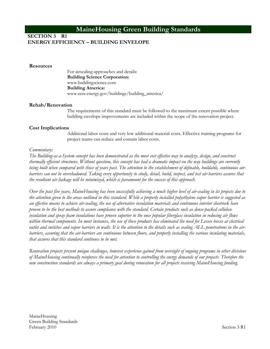### **SECTION 3 R1 ENERGY EFFICIENCY – BUILDING ENVELOPE**

#### **Resources**

For airsealing approaches and details: **Building Science Corporation:** www.buildingscience.com **Building America:** www.eere.energy.gov/buildings/building\_america/

#### **Rehab/Renovation**

The requirements of this standard must be followed to the maximum extent possible where building envelope improvements are included within the scope of the renovation project.

#### **Cost Implications**

Additional labor costs and very low additional material costs. Effective training programs for project teams can reduce and contain labor costs.

#### *Commentary:*

*The Building-as-a-System concept has been demonstrated as the most cost effective way to analyze, design, and construct thermally efficient structures. Without question, this concept has had a dramatic impact on the way buildings are currently being built when compared with those of years past. The attention to the establishment of definable, buildable, continuous airbarriers can not be overshadowed. Taking every opportunity to study, detail, build, inspect, and test air-barriers assures that the resultant air leakage will be minimized, which is paramount for the success of this approach.* 

*Over the past five years, MaineHousing has been successfully achieving a much higher level of air-sealing in its projects due to the attention given to the areas outlined in this standard. While a properly installed polyethylene vapor barrier is suggested as an effective means to achieve air-sealing, the use of alternative insulation materials and continuous interior sheetrock have proven to be the best methods to assure compliance with the standard. Certain products such as dense-packed cellulose insulation and spray foam insulations have proven superior to the once popular fiberglass insulation in reducing air flows within thermal components. In most instances, the use of these products has eliminated the need for Lessco boxes at electrical outlet and switches and vapor barriers in walls. It is the attention to the details such as sealing ALL penetrations in the airbarriers, assuring that the air-barriers are continuous between floors, and properly installing the various insulating materials, that assures that this standard continues to be met.* 

*Renovation projects present unique challenges, however experience gained from oversight of ongoing programs in other divisions of MaineHousing continually reinforces the need for attention to controlling the energy demands of our projects. Therefore the new construction standards are always a primary goal during renovation for all projects receiving MaineHousing funding.*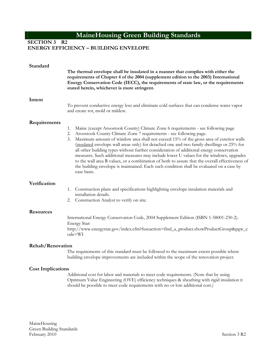### **SECTION 3 R2 ENERGY EFFICIENCY – BUILDING ENVELOPE**

| Standard                                     | The thermal envelope shall be insulated in a manner that complies with either the<br>requirements of Chapter 4 of the 2004 (supplement edition to the 2003) International<br>Energy Conservation Code (IECC), the requirements of state law, or the requirements<br>stated herein, whichever is more stringent.                                                                                                                                                                                                                                                                                                                                                                                                                                                      |
|----------------------------------------------|----------------------------------------------------------------------------------------------------------------------------------------------------------------------------------------------------------------------------------------------------------------------------------------------------------------------------------------------------------------------------------------------------------------------------------------------------------------------------------------------------------------------------------------------------------------------------------------------------------------------------------------------------------------------------------------------------------------------------------------------------------------------|
| Intent                                       | To prevent conductive energy loss and eliminate cold surfaces that can condense water vapor<br>and create rot, mold or mildew.                                                                                                                                                                                                                                                                                                                                                                                                                                                                                                                                                                                                                                       |
| Requirements                                 | Maine (except Aroostook County) Climate Zone 6 requirements - see following page<br>1.<br>Aroostook County Climate Zone 7 requirements - see following page.<br>2.<br>Maximum amount of window area shall not exceed 15% of the gross area of exterior walls<br>3.<br>(insulated envelope wall areas only) for detached one and two family dwellings or 25% for<br>all other building types without further consideration of additional energy conservation<br>measures. Such additional measures may include lower U values for the windows, upgrades<br>to the wall area R values, or a combination of both to assure that the overall effectiveness of<br>the building envelope is maintained. Each such condition shall be evaluated on a case by<br>case basis. |
| Verification                                 | Construction plans and specifications highlighting envelope insulation materials and<br>1.<br>installation details.<br>Construction Analyst to verify on site.<br>2.                                                                                                                                                                                                                                                                                                                                                                                                                                                                                                                                                                                                 |
| <b>Resources</b>                             | International Energy Conservation Code, 2004 Supplement Edition (ISBN 1-58001-230-2).<br>Energy Star:<br>http://www.energystar.gov/index.cfm?fuseaction=find_a_product.showProductGroup&pgw_c<br>$ode=WI$                                                                                                                                                                                                                                                                                                                                                                                                                                                                                                                                                            |
| Rehab/Renovation<br><b>Cost Implications</b> | The requirements of this standard must be followed to the maximum extent possible where<br>building envelope improvements are included within the scope of the renovation project.                                                                                                                                                                                                                                                                                                                                                                                                                                                                                                                                                                                   |

Additional cost for labor and materials to meet code requirements. (Note that by using Optimum Value Engineering (OVE) efficiency techniques & sheathing with rigid insulation it should be possible to meet code requirements with no or low additional cost.)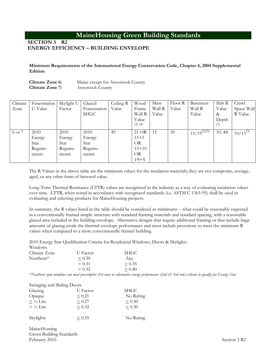#### **SECTION 3 R2 ENERGY EFFICIENCY – BUILDING ENVELOPE**

**Minimum Requirements of the International Energy Conservation Code, Chapter 4, 2004 Supplemental Edition** 

| Climate Zone 6: | Maine except for Aroostook County |
|-----------------|-----------------------------------|
| Climate Zone 7: | Aroostook County                  |

| Climate | Fenestration | Skylight U | Glazed       | Ceiling R | Wood                 | Mass   | Floor R | Basement         | Slab R       | Crawl         |
|---------|--------------|------------|--------------|-----------|----------------------|--------|---------|------------------|--------------|---------------|
| Zone    | U-Value      | Factor     | Fenestration | Value     | Frame                | Wall R | Value   | Wall R           | Value        | Space Wall    |
|         |              |            | <b>SHGC</b>  |           | Wall R               | Value  |         | Value            | &            | R Value       |
|         |              |            |              |           | Value<br>$(2)$ $(4)$ |        |         |                  | Depth<br>(1) |               |
|         |              |            |              |           |                      |        |         |                  |              |               |
| 6 or 7  | 2010         | 2010       | 2010         | 49        | 21 OR                | 15     | 30      | $15/19^{(3)(5)}$ | $10, 4$ ft   | $10/13^{(3)}$ |
|         | Energy       | Energy     | Energy       |           | $15 + 5$             |        |         |                  |              |               |
|         | Star         | Star       | Star         |           | <b>OR</b>            |        |         |                  |              |               |
|         | Reguire-     | Reguire-   | Reguire-     |           | $15 + 10$            |        |         |                  |              |               |
|         | ments        | ments      | ments        |           | <b>OR</b>            |        |         |                  |              |               |
|         |              |            |              |           | $19 + 5$             |        |         |                  |              |               |

The R Values in the above table are the minimum values for the insulation materials; they are not composite, average, aged, or any other form of factored value.

Long-Term Thermal Resistance (LTTR) values are recognized in the industry as a way of evaluating insulation values over time. LTTR, when tested in accordance with recognized standards (i.e. ASTM C 1303-95) shall be used in evaluating and selecting products for MaineHousing projects.

In summary, the R values listed in the table should be considered as minimums – what could be reasonably expected in a conventionally framed simple structure with standard framing materials and standard spacing, with a reasonable glazed area included in the building envelope. Alternative designs that require additional framing or that include large amounts of glazing erode the thermal envelope performance and must include provisions to meet the minimum R values when compared to a more conventionally framed building.

2010 Energy Star Qualification Criteria for Residential Windows, Doors & Skylights  $W^{\dagger}$  and  $\sigma^{\dagger}$ 

| w 11100 w S  |             |             |
|--------------|-------------|-------------|
| Climate Zone | U Factor    | <b>SHGC</b> |
| Northern*    | ${}_{0.30}$ | Any         |
|              | $= 0.31$    | > 0.35      |
|              | $= 0.32$    | > 0.40      |

**.** The contract of the contract of the contract of the contract of the contract of the contract of the contract of

*\*Northern zone windows can meet prescriptive (1st row) or alternative energy performance (2nd & 3rd row) criteria to qualify for Energy Star.*

| Swinging and Sliding Doors |             |             |
|----------------------------|-------------|-------------|
| Glazing                    | U Factor    | <b>SHGC</b> |
| Opaque                     | < 0.21      | No Rating   |
| $\leq \frac{1}{2}$ Lite    | < 0.27      | $\leq 0.30$ |
| $> \frac{1}{2}$ Lite       | < 0.32      | < 0.30      |
| Skylights                  | $\leq 0.55$ | No Rating   |

MaineHousing Green Building Standards February 2010 Section 3 R2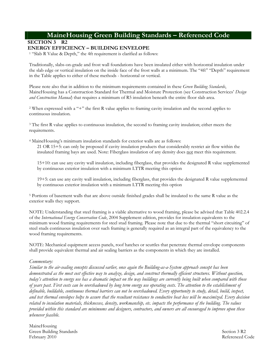# **MaineHousing Green Building Standards – Referenced Code**

**SECTION 3 R2** 

### **ENERGY EFFICIENCY – BUILDING ENVELOPE**

1 "Slab R Value & Depth," the 4ft requirement is clarified as follows:

Traditionally, slabs-on-grade and frost wall foundations have been insulated either with horizontal insulation under the slab edge or vertical insulation on the inside face of the frost walls at a minimum. The "4ft" "Depth" requirement in the Table applies to either of these methods - horizontal or vertical.

Please note also that in addition to the minimum requirements contained in these *Green Building Standards*, MaineHousing has a Construction Standard for Thermal and Moisture Protection (see Construction Services' *Design and Construction Manual*) that requires a minimum of R5 insulation beneath the entire floor slab area.

2 When expressed with a "+" the first R value applies to framing cavity insulation and the second applies to continuous insulation.

<sup>3</sup> The first R value applies to continuous insulation, the second to framing cavity insulation; either meets the requirements.

4 MaineHousing's minimum insulation standards for exterior walls are as follows: 21 OR 15+5: can only be proposed if cavity insulation products that considerably restrict air flow within the insulated framing bays are used. Note: Fiberglass insulation of any density does not meet this requirement.

15+10: can use any cavity wall insulation, including fiberglass, that provides the designated R value supplemented by continuous exterior insulation with a minimum LTTR meeting this option

19+5: can use any cavity wall insulation, including fiberglass, that provides the designated R value supplemented by continuous exterior insulation with a minimum LTTR meeting this option

5 Portions of basement walls that are above outside finished grades shall be insulated to the same R value as the exterior walls they support.

NOTE: Understanding that steel framing is a viable alternative to wood framing, please be advised that Table 402.2.4 of the *International Energy Conservation Code*, 2004 Supplement edition, provides for insulation equivalents to the minimum wood framing requirements for steel stud framing. Please note that due to the thermal "short circuiting" of steel studs continuous insulation over such framing is generally required as an integral part of the equivalency to the wood framing requirements.

NOTE: Mechanical equipment access panels, roof hatches or scuttles that penetrate thermal envelope components shall provide equivalent thermal and air sealing barriers as the components in which they are installed.

#### *Commentary:*

*Similar to the air-sealing concepts discussed earlier, once again the Building-as-a-System approach concept has been demonstrated as the most cost effective way to analyze, design, and construct thermally efficient structures. Without question, today's attention to energy use has a dramatic impact on the way buildings are currently being built when compared with those of years past. First costs can be overshadowed by long term energy use operating costs. The attention to the establishment of definable, buildable, continuous thermal barriers can not be overshadowed. Every opportunity to study, detail, build, inspect, and test thermal envelopes helps to assure that the resultant resistance to conductive heat loss will be maximized. Every decision related to insulation materials, thicknesses, density, workmanship, etc. impacts the performance of the building. The values provided within this standard are minimums and designers, contractors, and owners are all encouraged to improve upon these whenever feasible.* 

MaineHousing Green Building Standards February 2010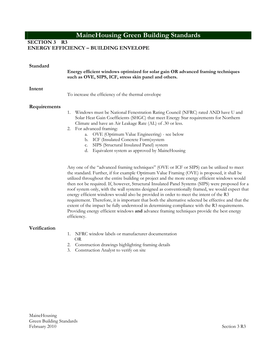**SECTION 3 R3** 

#### **ENERGY EFFICIENCY – BUILDING ENVELOPE**

| Standard     | Energy efficient windows optimized for solar gain OR advanced framing techniques<br>such as OVE, SIPS, ICF, stress skin panel and others.                                                                                                                                                                                                                                                                                                                                                                                                                                                                                                                                                                                                                              |
|--------------|------------------------------------------------------------------------------------------------------------------------------------------------------------------------------------------------------------------------------------------------------------------------------------------------------------------------------------------------------------------------------------------------------------------------------------------------------------------------------------------------------------------------------------------------------------------------------------------------------------------------------------------------------------------------------------------------------------------------------------------------------------------------|
| Intent       | To increase the efficiency of the thermal envelope                                                                                                                                                                                                                                                                                                                                                                                                                                                                                                                                                                                                                                                                                                                     |
| Requirements | Windows must be National Fenestration Rating Council (NFRC) rated AND have U and<br>1.<br>Solar Heat Gain Coefficients (SHGC) that meet Energy Star requirements for Northern<br>Climate and have an Air Leakage Rate (AL) of .30 or less.<br>2. For advanced framing:<br>a. OVE (Optimum Value Engineering) - see below<br>b. ICF (Insulated Concrete Form) system<br>SIPS (Structural Insulated Panel) system<br>C.<br>d. Equivalent system as approved by MaineHousing<br>Any one of the "advanced framing techniques" (OVE or ICF or SIPS) can be utilized to meet<br>the standard. Further, if for example Optimum Value Framing (OVE) is proposed, it shall be<br>utilized throughout the entire building or project and the more energy efficient windows would |

utilized throughout the entire building or project and the more energy efficient windows would then not be required. If, however, Structural Insulated Panel Systems (SIPS) were proposed for a roof system only, with the wall systems designed as conventionally framed, we would expect that energy efficient windows would also be provided in order to meet the intent of the R3 requirement. Therefore, it is important that both the alternative selected be effective and that the extent of the impact be fully understood in determining compliance with the R3 requirements. Providing energy efficient windows **and** advance framing techniques provide the best energy efficiency.

#### **Verification**

- 1. NFRC window labels or manufacturer documentation OR
- 2. Construction drawings highlighting framing details
- 3. Construction Analyst to verify on site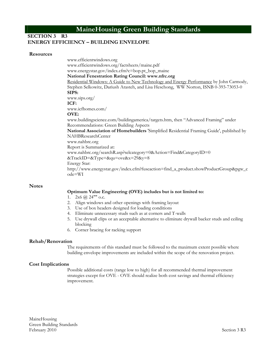#### **SECTION 3 R3 ENERGY EFFICIENCY – BUILDING ENVELOPE**

#### **Resources**

www.efficientwindows.org www.efficientwindows.org/factsheets/maine.pdf www.energystar.gov/index.cfm?c=bop.pt\_bop\_maine **National Fenestration Rating Council: www.nfrc.org**  Residential Windows: A Guide to New Technology and Energy Performance by John Carmody, Stephen Selkowitz, Dariush Arasteh, and Lisa Heschong, WW Norton, ISNB 0-393-73053-0 **SIPS:** www.sips.org/ **ICF:** www.icfhomes.com/ **OVE:** www.buildingscience.com/buildingamerica/targets.htm, then "Advanced Framing" under Recommendations: Green Building Aspects **National Association of Homebuilders** 'Simplified Residential Framing Guide', published by NAHBResearchCenter www.nahbrc.org Report is Summarized at: www.nahbrc.org/searchR.asp?selcategory=0&Action=Find&CategoryID=0  $&$ TrackID= $&$ Type= $&$ qu=ove $&$ x=29 $&$ y=8 Energy Star: http://www.energystar.gov/index.cfm?fuseaction=find\_a\_product.showProductGroup&pgw\_c ode=WI

#### **Notes**

#### **Optimum Value Engineering (OVE) includes but is not limited to:**

- 1.  $2x6$  ( $\overline{a}$ )  $24$ "" o.c.
- 2. Align windows and other openings with framing layout
- 3. Use of box headers designed for loading conditions
- 4. Eliminate unnecessary studs such as at corners and T-walls
- 5. Use drywall clips or an acceptable alternative to eliminate drywall backer studs and ceiling blocking
- 6. Corner bracing for racking support

#### **Rehab/Renovation**

The requirements of this standard must be followed to the maximum extent possible where building envelope improvements are included within the scope of the renovation project.

#### **Cost Implications**

Possible additional costs (range low to high) for all recommended thermal improvement strategies except for OVE - OVE should realize both cost savings and thermal efficiency improvement.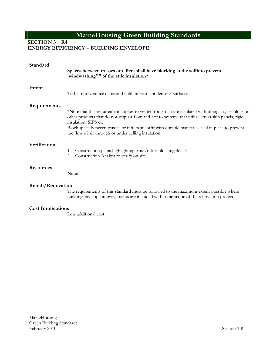**SECTION 3 R4** 

#### **ENERGY EFFICIENCY – BUILDING ENVELOPE**

| Standard                 | Spaces between trusses or rafters shall have blocking at the soffit to prevent<br>'windwashing"" of the attic insulation*                                                                                                                                                                                                                                                                        |
|--------------------------|--------------------------------------------------------------------------------------------------------------------------------------------------------------------------------------------------------------------------------------------------------------------------------------------------------------------------------------------------------------------------------------------------|
| Intent                   | To help prevent ice dams and cold interior 'condensing' surfaces                                                                                                                                                                                                                                                                                                                                 |
| Requirements             | *Note that this requirement applies to vented roofs that are insulated with fiberglass, cellulose or<br>other products that do not stop air flow and not to systems that utilize stress skin panels, rigid<br>insulation, SIPS etc.<br>Block space between trusses or rafters at soffit with durable material sealed in place to prevent<br>the flow of air through or under ceiling insulation. |
| Verification             | Construction plans highlighting truss/rafter blocking details<br>1.<br>Construction Analyst to verify on site<br>2.                                                                                                                                                                                                                                                                              |
| <b>Resources</b>         | None                                                                                                                                                                                                                                                                                                                                                                                             |
| <b>Rehab/Renovation</b>  | The requirements of this standard must be followed to the maximum extent possible where<br>building envelope improvements are included within the scope of the renovation project.                                                                                                                                                                                                               |
| <b>Cost Implications</b> | Low additional cost                                                                                                                                                                                                                                                                                                                                                                              |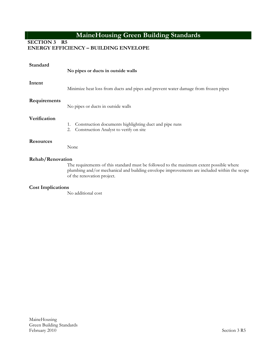**SECTION 3 R5 ENERGY EFFICIENCY – BUILDING ENVELOPE**

| Standard                 | No pipes or ducts in outside walls                                                                                                                                                                                   |
|--------------------------|----------------------------------------------------------------------------------------------------------------------------------------------------------------------------------------------------------------------|
| Intent                   | Minimize heat loss from ducts and pipes and prevent water damage from frozen pipes                                                                                                                                   |
| Requirements             | No pipes or ducts in outside walls                                                                                                                                                                                   |
| Verification             | Construction documents highlighting duct and pipe runs<br>1.<br>Construction Analyst to verify on site<br>2.                                                                                                         |
| <b>Resources</b>         | None                                                                                                                                                                                                                 |
| Rehab/Renovation         | The requirements of this standard must be followed to the maximum extent possible where<br>plumbing and/or mechanical and building envelope improvements are included within the scope<br>of the renovation project. |
| <b>Cost Implications</b> | $\mathbf{M} = \mathbf{M} \mathbf{M}$                                                                                                                                                                                 |

No additional cost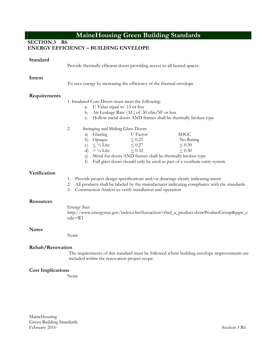**SECTION 3 R6** 

### **ENERGY EFFICIENCY – BUILDING ENVELOPE**

| Standard                 | Provide thermally efficient doors providing access to all heated spaces.                                                                                                                                                                                                                                                                                                                        |
|--------------------------|-------------------------------------------------------------------------------------------------------------------------------------------------------------------------------------------------------------------------------------------------------------------------------------------------------------------------------------------------------------------------------------------------|
| Intent                   | To save energy by increasing the efficiency of the thermal envelope                                                                                                                                                                                                                                                                                                                             |
| Requirements             | 1. Insulated Core Doors must meet the following:<br>a. U Value equal to .15 or less<br>b. Air Leakage Rate (AL) of .30 cfm/SF or less<br>c. Hollow metal doors AND frames shall be thermally broken type                                                                                                                                                                                        |
|                          | 2.<br>Swinging and Sliding Glass Doors<br>a) Glazing<br>U Factor<br><b>SHGC</b><br>b) Opaque<br>$\leq 0.21$<br>No Rating<br>c) $\leq \frac{1}{2}$ Lite<br>$\leq 0.27$<br>$\leq 0.30$<br>d) $> \frac{1}{2}$ Lite<br>$\leq 0.32$<br>$\leq 0.30$<br>e) Metal for doors AND frames shall be thermally broken type<br>Full glass doors should only be used as part of a vestibule entry system<br>f) |
| Verification             | Provide project design specifications and/or drawings clearly indicating intent<br>1.<br>All products shall be labeled by the manufacturer indicating compliance with the standards<br>2.<br>3.<br>Construction Analyst to verify installation and operation                                                                                                                                    |
| <b>Resources</b>         | Energy Star:<br>http://www.energystar.gov/index.cfm?fuseaction=find_a_product.showProductGroup&pgw_c<br>ode=WI                                                                                                                                                                                                                                                                                  |
| <b>Notes</b>             | None                                                                                                                                                                                                                                                                                                                                                                                            |
| Rehab/Renovation         | The requirements of this standard must be followed where building envelope improvements are<br>included within the renovation project scope.                                                                                                                                                                                                                                                    |
| <b>Cost Implications</b> |                                                                                                                                                                                                                                                                                                                                                                                                 |

None

MaineHousing Green Building Standards February 2010 Section 3 R6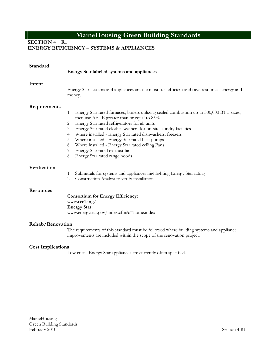**SECTION 4 R1** 

### **ENERGY EFFICIENCY – SYSTEMS & APPLIANCES**

| Standard                                    | Energy Star labeled systems and appliances                                                                                                                                                                                                                                                                                                                                                                                                                                                                                                  |
|---------------------------------------------|---------------------------------------------------------------------------------------------------------------------------------------------------------------------------------------------------------------------------------------------------------------------------------------------------------------------------------------------------------------------------------------------------------------------------------------------------------------------------------------------------------------------------------------------|
| Intent                                      | Energy Star systems and appliances are the most fuel efficient and save resources, energy and<br>money.                                                                                                                                                                                                                                                                                                                                                                                                                                     |
| Requirements                                | Energy Star rated furnaces, boilers utilizing sealed combustion up to 300,000 BTU sizes,<br>1.<br>then use AFUE greater than or equal to 85%<br>Energy Star rated refrigerators for all units<br>2.<br>Energy Star rated clothes washers for on-site laundry facilities<br>3.<br>Where installed - Energy Star rated dishwashers, freezers<br>4.<br>Where installed - Energy Star rated heat pumps<br>5.<br>6. Where installed - Energy Star rated ceiling Fans<br>7. Energy Star rated exhaust fans<br>Energy Star rated range hoods<br>8. |
| Verification                                | Submittals for systems and appliances highlighting Energy Star rating<br>1.<br>Construction Analyst to verify installation<br>2.                                                                                                                                                                                                                                                                                                                                                                                                            |
| <b>Resources</b><br><b>Rehab/Renovation</b> | <b>Consortium for Energy Efficiency:</b><br>www.cee1.org/<br><b>Energy Star:</b><br>www.energystar.gov/index.cfm?c=home.index                                                                                                                                                                                                                                                                                                                                                                                                               |
|                                             | The requirements of this standard must be followed where building systems and appliance<br>improvements are included within the scope of the renovation project.                                                                                                                                                                                                                                                                                                                                                                            |
| <b>Cost Implications</b>                    | Low cost - Energy Star appliances are currently often specified.                                                                                                                                                                                                                                                                                                                                                                                                                                                                            |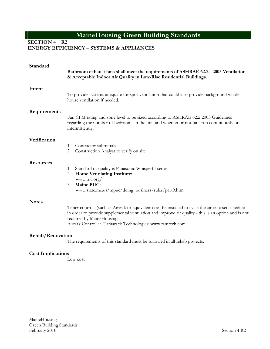**SECTION 4 R2** 

#### **ENERGY EFFICIENCY – SYSTEMS & APPLIANCES**

| Standard                 | Bathroom exhaust fans shall meet the requirements of ASHRAE 62.2 - 2003 Ventilation<br>& Acceptable Indoor Air Quality in Low-Rise Residential Buildings.                                                                                                                                            |
|--------------------------|------------------------------------------------------------------------------------------------------------------------------------------------------------------------------------------------------------------------------------------------------------------------------------------------------|
| Intent                   | To provide systems adequate for spot ventilation that could also provide background whole<br>house ventilation if needed.                                                                                                                                                                            |
| Requirements             | Fan CFM rating and sone level to be sized according to ASHRAE 62.2 2003 Guidelines<br>regarding the number of bedrooms in the unit and whether or not fans run continuously or<br>intermittently.                                                                                                    |
| Verification             | Contractor submittals<br>1.<br>2.<br>Construction Analyst to verify on site                                                                                                                                                                                                                          |
| <b>Resources</b>         | Standard of quality is Panasonic Whisperfit series<br>1.<br>Home Ventilating Institute:<br>2.<br>www.hvi.org/<br>Maine PUC:<br>3.<br>www.state.me.us/mpuc/doing_business/rules/part9.htm                                                                                                             |
| <b>Notes</b>             | Timer controls (such as Airtrak or equivalent) can be installed to cycle the air on a set schedule<br>in order to provide supplemental ventilation and improve air quality - this is an option and is not<br>required by MaineHousing.<br>Airtrak Controller, Tamarack Technologies: www.tamtech.com |
| Rehab/Renovation         | The requirements of this standard must be followed in all rehab projects.                                                                                                                                                                                                                            |
| <b>Cost Implications</b> | Low cost                                                                                                                                                                                                                                                                                             |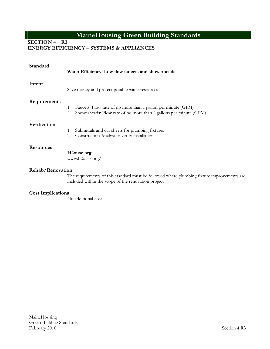**SECTION 4 R3** 

### **ENERGY EFFICIENCY – SYSTEMS & APPLIANCES**

| Standard                | Water Efficiency: Low flow faucets and showerheads                                                                                            |
|-------------------------|-----------------------------------------------------------------------------------------------------------------------------------------------|
| Intent                  | Save money and protect potable water resources                                                                                                |
| Requirements            | Faucets: Flow rate of no more than 1 gallon per minute (GPM)<br>1.<br>Showerheads: Flow rate of no more than 2 gallons per minute (GPM)<br>2. |
| Verification            | Submittals and cut sheets for plumbing fixtures<br>1.<br>Construction Analyst to verify installation<br>2.                                    |
| <b>Resources</b>        | H2ouse.org:<br>www.h2ouse.org/                                                                                                                |
| <b>Rehab/Renovation</b> | The requirements of this standard must be followed where plumbing fixture improvements are                                                    |

included within the scope of the renovation project.

### **Cost Implications**

No additional cost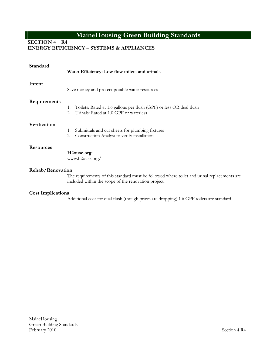**SECTION 4 R4** 

### **ENERGY EFFICIENCY – SYSTEMS & APPLIANCES**

| Standard         | Water Efficiency: Low flow toilets and urinals                                                                                                      |
|------------------|-----------------------------------------------------------------------------------------------------------------------------------------------------|
| Intent           | Save money and protect potable water resources                                                                                                      |
| Requirements     | Toilets: Rated at 1.6 gallons per flush (GPF) or less OR dual flush<br>1.<br>Urinals: Rated at 1.0 GPF or waterless<br>2.                           |
| Verification     | Submittals and cut sheets for plumbing fixtures<br>1.<br>Construction Analyst to verify installation<br>2.                                          |
| <b>Resources</b> | H <sub>2</sub> ouse.org:<br>www.h2ouse.org/                                                                                                         |
| Rehab/Renovation | The requirements of this standard must be followed where toilet and urinal replacements are<br>included within the scope of the renovation project. |

### **Cost Implications**

Additional cost for dual flush (though prices are dropping) 1.6 GPF toilets are standard.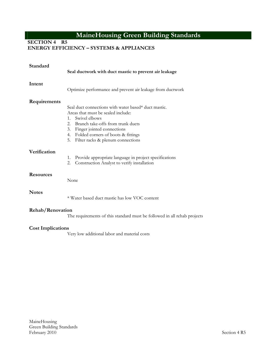**SECTION 4 R5** 

### **ENERGY EFFICIENCY – SYSTEMS & APPLIANCES**

| Standard                 | Seal ductwork with duct mastic to prevent air leakage                                                                                                                                                                                          |
|--------------------------|------------------------------------------------------------------------------------------------------------------------------------------------------------------------------------------------------------------------------------------------|
| Intent                   | Optimize performance and prevent air leakage from ductwork                                                                                                                                                                                     |
| Requirements             | Seal duct connections with water based* duct mastic.<br>Areas that must be sealed include:<br>Swivel elbows<br>$1_{-}$<br>2.<br>Branch take-offs from trunk ducts<br>Finger jointed connections<br>3.<br>4. Folded corners of boots & fittings |
| Verification             | Filter racks & plenum connections<br>5.<br>Provide appropriate language in project specifications<br>1.<br>2.<br>Construction Analyst to verify installation                                                                                   |
| <b>Resources</b>         | None                                                                                                                                                                                                                                           |
| <b>Notes</b>             | * Water based duct mastic has low VOC content                                                                                                                                                                                                  |
| Rehab/Renovation         | The requirements of this standard must be followed in all rehab projects                                                                                                                                                                       |
| <b>Cost Implications</b> | Very low additional labor and material costs                                                                                                                                                                                                   |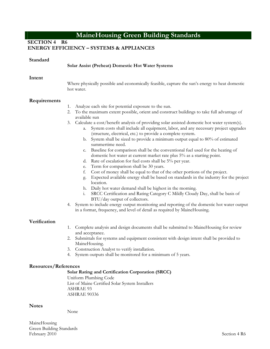**SECTION 4 R6** 

### **ENERGY EFFICIENCY – SYSTEMS & APPLIANCES**

#### **Solar Assist (Preheat) Domestic Hot Water Systems**

#### **Intent**

Where physically possible and economically feasible, capture the sun's energy to heat domestic hot water.

#### **Requirements**

- 1. Analyze each site for potential exposure to the sun.
- 2. To the maximum extent possible, orient and construct buildings to take full advantage of available sun
- 3. Calculate a cost/benefit analysis of providing solar assisted domestic hot water system(s).
	- a. System costs shall include all equipment, labor, and any necessary project upgrades (structure, electrical, etc.) to provide a complete system.
	- b. System shall be sized to provide a minimum output equal to 80% of estimated summertime need.
	- c. Baseline for comparison shall be the conventional fuel used for the heating of domestic hot water at current market rate plus 5% as a starting point.
	- d. Rate of escalation for fuel costs shall be 5% per year.
	- e. Term for comparison shall be 30 years.
	- f. Cost of money shall be equal to that of the other portions of the project.
	- g. Expected available energy shall be based on standards in the industry for the project location.
	- h. Daily hot water demand shall be highest in the morning.
	- i. SRCC Certification and Rating Category C Mildly Cloudy Day, shall be basis of BTU/day output of collectors.
- 4. System to include energy output monitoring and reporting of the domestic hot water output in a format, frequency, and level of detail as required by MaineHousing.

#### **Verification**

- 1. Complete analysis and design documents shall be submitted to MaineHousing for review and acceptance.
- 2. Submittals for systems and equipment consistent with design intent shall be provided to MaineHousing.
- 3. Construction Analyst to verify installation.
- 4. System outputs shall be monitored for a minimum of 5 years.

#### **Resources/References**

#### **Solar Rating and Certification Corporation (SRCC)**

Uniform Plumbing Code List of Maine Certified Solar System Installers ASHRAE 93 ASHRAE 90336

#### **Notes**

None

MaineHousing Green Building Standards February 2010 Section 4 R6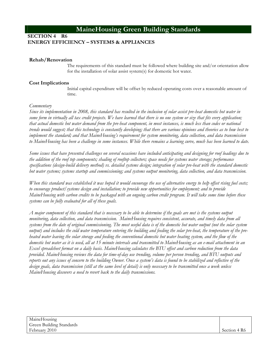### **SECTION 4 R6 ENERGY EFFICIENCY – SYSTEMS & APPLIANCES**

#### **Rehab/Renovation**

The requirements of this standard must be followed where building site and/or orientation allow for the installation of solar assist system(s) for domestic hot water.

#### **Cost Implications**

Initial capital expenditure will be offset by reduced operating costs over a reasonable amount of time.

#### *Commentary*

*Since its implementation in 2008, this standard has resulted in the inclusion of solar assist pre-heat domestic hot water in some form in virtually all tax credit projects. We have learned that there is no one system or size that fits every application; that actual domestic hot water demand from the pre-heat component, in most instances, is much less than codes or national trends would suggest; that this technology is constantly developing; that there are various opinions and theories as to how best to implement the standard; and that MaineHousing's requirement for system monitoring, data collection, and data transmission to MaineHousing has been a challenge in some instances. While there remains a learning curve, much has been learned to date.* 

*Some issues that have presented challenges on several occasions have included anticipating and designing for roof loadings due to the addition of the roof top components; shading of rooftop collectors; space needs for systems water storage; performance specifications (design-build delivery method) vs. detailed systems design; integration of solar pre-heat with the standard domestic hot water systems; systems startup and commissioning; and systems output monitoring, data collection, and data transmission.* 

*When this standard was established it was hoped it would encourage the use of alternative energy to help offset rising fuel costs; to encourage product/systems design and installation; to provide new opportunities for employment; and to provide MaineHousing with carbon credits to be packaged with an ongoing carbon credit program. It will take some time before these systems can be fully evaluated for all of these goals.* 

*A major component of this standard that is necessary to be able to determine if the goals are met is the systems output monitoring, data collection, and data transmission. MaineHousing requires consistent, accurate, and timely data from all systems from the date of original commissioning. The most useful data is of the domestic hot water output (not the solar system output) and includes the cold water temperature entering the building and feeding the solar pre-heat, the temperature of the preheated water leaving the solar storage and feeding the conventional domestic hot water heating system, and the flow of the domestic hot water as it is used, all at 15 minute intervals and transmitted to MaineHousing as an e-mail attachment in an Excel spreadsheet format on a daily basis. MaineHousing calculates the BTU offset and carbon reduction from the data provided. MaineHousing reviews the data for time-of-day use trending, volume per person trending, and BTU outputs and reports out any issues of concern to the building Owner. Once a system's data is found to be stabilized and reflective of the design goals, data transmission (still at the same level of detail) is only necessary to be transmitted once a week unless MaineHousing discovers a need to revert back to the daily transmissions.*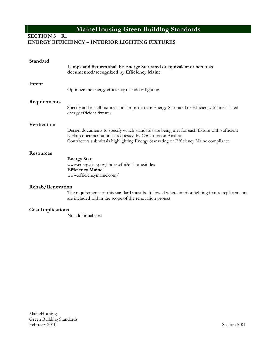### **SECTION 5 R1 ENERGY EFFICIENCY – INTERIOR LIGHTING FIXTURES**

| Standard                 | Lamps and fixtures shall be Energy Star rated or equivalent or better as<br>documented/recognized by Efficiency Maine                                                                                                                            |
|--------------------------|--------------------------------------------------------------------------------------------------------------------------------------------------------------------------------------------------------------------------------------------------|
| Intent                   | Optimize the energy efficiency of indoor lighting                                                                                                                                                                                                |
| Requirements             | Specify and install fixtures and lamps that are Energy Star rated or Efficiency Maine's listed<br>energy efficient fixtures                                                                                                                      |
| Verification             | Design documents to specify which standards are being met for each fixture with sufficient<br>backup documentation as requested by Construction Analyst<br>Contractors submittals highlighting Energy Star rating or Efficiency Maine compliance |
| <b>Resources</b>         | <b>Energy Star:</b><br>www.energystar.gov/index.cfm?c=home.index<br><b>Efficiency Maine:</b><br>www.efficiencymaine.com/                                                                                                                         |
| Rehab/Renovation         | The requirements of this standard must be followed where interior lighting fixture replacements<br>are included within the scope of the renovation project.                                                                                      |
| <b>Cost Implications</b> | No additional cost                                                                                                                                                                                                                               |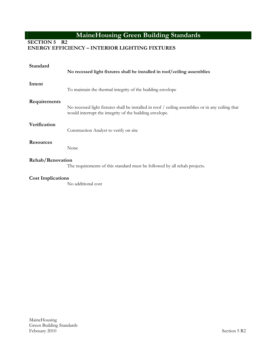### **SECTION 5 R2**

### **ENERGY EFFICIENCY – INTERIOR LIGHTING FIXTURES**

| Standard                 | No recessed light fixtures shall be installed in roof/ceiling assemblies                                                                                     |
|--------------------------|--------------------------------------------------------------------------------------------------------------------------------------------------------------|
| Intent                   | To maintain the thermal integrity of the building envelope                                                                                                   |
| Requirements             | No recessed light fixtures shall be installed in roof / ceiling assemblies or in any ceiling that<br>would interrupt the integrity of the building envelope. |
| Verification             | Construction Analyst to verify on site                                                                                                                       |
| <b>Resources</b>         | None                                                                                                                                                         |
| Rehab/Renovation         | The requirements of this standard must be followed by all rehab projects.                                                                                    |
| <b>Cost Implications</b> |                                                                                                                                                              |

No additional cost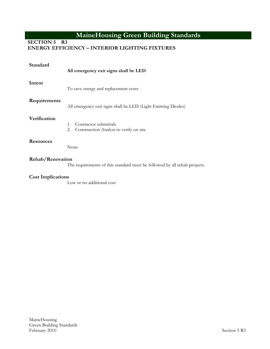# **SECTION 5 R3**

### **ENERGY EFFICIENCY – INTERIOR LIGHTING FIXTURES**

| Standard                 | All emergency exit signs shall be LED                                            |
|--------------------------|----------------------------------------------------------------------------------|
| Intent                   | To save energy and replacement costs                                             |
| Requirements             | All emergency exit signs shall be LED (Light Emitting Diodes)                    |
| Verification             | Contractor submittals<br>$1_{-}$<br>Construction Analyst to verify on site<br>2. |
| <b>Resources</b>         | None                                                                             |
| Rehab/Renovation         | The requirements of this standard must be followed by all rehab projects.        |
| <b>Cost Implications</b> | Low or no additional cost                                                        |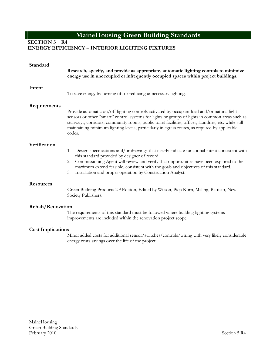**SECTION 5 R4** 

#### **ENERGY EFFICIENCY – INTERIOR LIGHTING FIXTURES**

| Standard                 | Research, specify, and provide as appropriate, automatic lighting controls to minimize<br>energy use in unoccupied or infrequently occupied spaces within project buildings.                                                                                                                                                                                                                                      |
|--------------------------|-------------------------------------------------------------------------------------------------------------------------------------------------------------------------------------------------------------------------------------------------------------------------------------------------------------------------------------------------------------------------------------------------------------------|
| Intent                   | To save energy by turning off or reducing unnecessary lighting.                                                                                                                                                                                                                                                                                                                                                   |
| Requirements             | Provide automatic on/off lighting controls activated by occupant load and/or natural light<br>sensors or other "smart" control systems for lights or groups of lights in common areas such as<br>stairways, corridors, community rooms, public toilet facilities, offices, laundries, etc. while still<br>maintaining minimum lighting levels, particularly in egress routes, as required by applicable<br>codes. |
| Verification             | Design specifications and/or drawings that clearly indicate functional intent consistent with<br>1.<br>this standard provided by designer of record.<br>2. Commissioning Agent will review and verify that opportunities have been explored to the<br>maximum extend feasible, consistent with the goals and objectives of this standard.<br>Installation and proper operation by Construction Analyst.<br>3.     |
| <b>Resources</b>         | Green Building Products 2 <sup>nd</sup> Edition, Edited by Wilson, Piep Korn, Maling, Battisto, New<br>Society Publishers.                                                                                                                                                                                                                                                                                        |
| Rehab/Renovation         | The requirements of this standard must be followed where building lighting systems<br>improvements are included within the renovation project scope.                                                                                                                                                                                                                                                              |
| <b>Cost Implications</b> |                                                                                                                                                                                                                                                                                                                                                                                                                   |

Minor added costs for additional sensor/switches/controls/wiring with very likely considerable energy costs savings over the life of the project.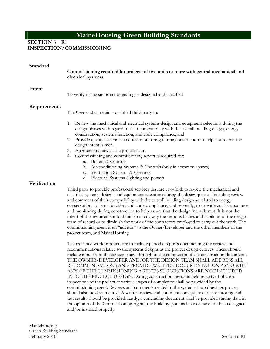### **SECTION 6 R1**

### **INSPECTION/COMMISSIONING**

| Standard     | Commissioning required for projects of five units or more with central mechanical and<br>electrical systems                                                                                                                                                                                                                                                                                                                                                                                                                                                                                                                                                                                                                                                                                                                                                                                                                                                                                                                                                                             |  |
|--------------|-----------------------------------------------------------------------------------------------------------------------------------------------------------------------------------------------------------------------------------------------------------------------------------------------------------------------------------------------------------------------------------------------------------------------------------------------------------------------------------------------------------------------------------------------------------------------------------------------------------------------------------------------------------------------------------------------------------------------------------------------------------------------------------------------------------------------------------------------------------------------------------------------------------------------------------------------------------------------------------------------------------------------------------------------------------------------------------------|--|
| Intent       | To verify that systems are operating as designed and specified                                                                                                                                                                                                                                                                                                                                                                                                                                                                                                                                                                                                                                                                                                                                                                                                                                                                                                                                                                                                                          |  |
| Requirements | The Owner shall retain a qualified third party to:                                                                                                                                                                                                                                                                                                                                                                                                                                                                                                                                                                                                                                                                                                                                                                                                                                                                                                                                                                                                                                      |  |
|              | 1. Review the mechanical and electrical systems design and equipment selections during the<br>design phases with regard to their compatibility with the overall building design, energy<br>conservation, systems function, and code compliance; and<br>2. Provide quality assurance and test monitoring during construction to help assure that the<br>design intent is met.<br>Augment and advise the project team.<br>3.<br>4. Commissioning and commissioning report is required for:<br>Boilers & Controls<br>a.<br>b. Air-conditioning Systems & Controls (only in common spaces)<br>c. Ventilation Systems & Controls<br>d. Electrical Systems (lighting and power)                                                                                                                                                                                                                                                                                                                                                                                                               |  |
| Verification | Third party to provide professional services that are two-fold: to review the mechanical and<br>electrical systems designs and equipment selections during the design phases, including review<br>and comment of their compatibility with the overall building design as related to energy<br>conservation, systems function, and code compliance; and secondly, to provide quality assurance<br>and monitoring during construction to help assure that the design intent is met. It is not the<br>intent of this requirement to diminish in any way the responsibilities and liabilities of the design<br>team of record or to diminish the work of the contractors employed to carry out the work. The<br>commissioning agent is an "advisor" to the Owner/Developer and the other members of the<br>project team, and MaineHousing.                                                                                                                                                                                                                                                  |  |
|              | The expected work products are to include periodic reports documenting the review and<br>recommendations relative to the systems designs as the project design evolves. These should<br>include input from the concept stage through to the completion of the construction documents.<br>THE OWNER/DEVELOPER AND/OR THE DESIGN TEAM SHALL ADDRESS ALL<br>RECOMMENDATIONS AND PROVIDE WRITTEN DOCUMENTATION AS TO WHY<br>ANY OF THE COMMISSIONING AGENT'S SUGGESTIONS ARE NOT INCLUDED<br>INTO THE PROJECT DESIGN. During construction, periodic field reports of physical<br>inspections of the project at various stages of completion shall be provided by the<br>commissioning agent. Reviews and comments related to the systems shop drawings process<br>should also be documented. A written review and comments on systems test monitoring and<br>test results should be provided. Lastly, a concluding document shall be provided stating that, in<br>the opinion of the Commissioning Agent, the building systems have or have not been designed<br>and/or installed properly. |  |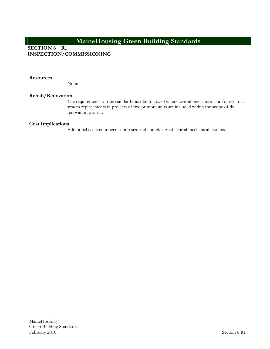### **SECTION 6 R1 INSPECTION/COMMISSIONING**

**Resources** 

None

#### **Rehab/Renovation**

The requirements of this standard must be followed where central mechanical and/or electrical system replacements in projects of five or more units are included within the scope of the renovation project.

#### **Cost Implications**

Additional costs contingent upon size and complexity of central mechanical systems.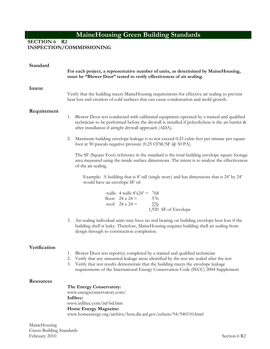**SECTION 6 R2** 

**INSPECTION/COMMISSIONING**

| Standard         | For each project, a representative number of units, as determined by MaineHousing,<br>must be "Blower Door" tested to verify effectiveness of air sealing.                                                                                                                                                                                                  |  |
|------------------|-------------------------------------------------------------------------------------------------------------------------------------------------------------------------------------------------------------------------------------------------------------------------------------------------------------------------------------------------------------|--|
| Intent           | Verify that the building meets MaineHousing requirements for effective air sealing to prevent<br>heat loss and creation of cold surfaces that can cause condensation and mold growth.                                                                                                                                                                       |  |
| Requirement      | Blower Door test conducted with calibrated equipment operated by a trained and qualified<br>1.<br>technician to be performed before the drywall is installed if polyethylene is the air barrier &<br>after installation if airtight drywall approach (ADA).                                                                                                 |  |
|                  | Maximum building envelope leakage is to not exceed 0.25 cubic feet per minute per square<br>2.<br>foot at 50 pascals negative pressure (0.25 CFM/SF @ 50 PA).                                                                                                                                                                                               |  |
|                  | The SF (Square Foot) reference in the standard is the total building envelope square footage<br>area measured using the inside surface dimensions. The intent is to analyze the effectiveness<br>of the air sealing.                                                                                                                                        |  |
|                  | Example: A building that is 8' tall (single story) and has dimensions that is 24' by 24'<br>would have an envelope SF of:                                                                                                                                                                                                                                   |  |
|                  | walls: $4$ walls $8'x24' = 768$<br>floor: $24 \times 24 =$<br>576<br>roof: $24 \times 24 =$<br>576<br>1,920 SF of Envelope                                                                                                                                                                                                                                  |  |
|                  | Air sealing individual units may have no real bearing on building envelope heat loss if the<br>3.<br>building shell is leaky. Therefore, MaineHousing requires building shell air sealing from<br>design through to construction completion.                                                                                                                |  |
| Verification     |                                                                                                                                                                                                                                                                                                                                                             |  |
|                  | 1. Blower Door test report(s) completed by a trained and qualified technician<br>2. Verify that any unwanted leakage areas identified by the test are sealed after the test<br>Verify that test results demonstrate that the building meets the envelope leakage<br>3.<br>requirements of the International Energy Conservation Code (IECC) 2004 Supplement |  |
| <b>Resources</b> |                                                                                                                                                                                                                                                                                                                                                             |  |
|                  | The Energy Conservatory:<br>www.energyconservatory.com/<br>Infiltec:<br>www.infiltec.com/inf-bd.htm<br>Home Energy Magazine:                                                                                                                                                                                                                                |  |
|                  | www.homeenergy.org/archive/hem.dis.anl.gov/eehem/94/940110.html                                                                                                                                                                                                                                                                                             |  |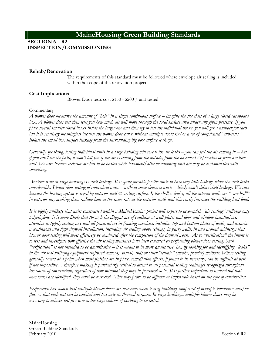**SECTION 6 R2 INSPECTION/COMMISSIONING**

#### **Rehab/Renovation**

The requirements of this standard must be followed where envelope air sealing is included within the scope of the renovation project.

#### **Cost Implications**

Blower Door tests cost \$150 - \$200 / unit tested

#### Commentary

*A blower door measures the amount of "hole" in a single continuous surface – imagine the six sides of a large closed cardboard box. A blower door test then tells you how much air will move through the total surface area under any given pressure. If you place several smaller closed boxes inside the larger one and then try to test the individual boxes, you will get a number for each but it is relatively meaningless because the blower door can't, without multiple doors &/or a lot of complicated "sub-tests," isolate the small box surface leakage from the surrounding big box surface leakage.* 

*Generally speaking, testing individual units in a large building will reveal the air leaks – you can feel the air coming in – but if you can't see the path, it won't tell you if the air is coming from the outside, from the basement*  $\mathcal{O}/\mathit{or}$  *attic or from another unit. We care because exterior air has to be heated while basement/attic or adjoining unit air may be contaminated with something.* 

*Another issue in large buildings is shell leakage. It is quite possible for the units to have very little leakage while the shell leaks considerably. Blower door testing of individual units – without some detective work – likely won't define shell leakage. We care because the heating system is sized by exterior wall & ceiling surface. If the shell is leaky, all the interior walls are ""washed"" in exterior air, making them radiate heat at the same rate as the exterior walls and this vastly increases the building heat load.* 

*It is highly unlikely that units constructed within a MaineHousing project will expect to accomplish "air sealing" utilizing only polyethylene. It is more likely that through the diligent use of caulking at wall plates and door and window installations; attention to tightly sealing any and all penetrations in framing members, including top and bottom plates of walls; and assuring a continuous and tight drywall installation, including air sealing above ceilings, in party walls, in and around cabinetry; that blower door testing will most effectively be conducted after the completion of the drywall work. As to "verification" the intent is to test and investigate how effective the air sealing measures have been executed by performing blower door testing. Such "verification" is not intended to be quantitative – it is meant to be more qualitative, i.e., by looking for and identifying "leaks" in the air seal utilizing equipment (infrared camera), visual, and/or other "telltale" (smoke, powder) methods. Where testing generally occurs at a point when most finishes are in place, remediation efforts, if found to be necessary, can be difficult at best, if not impossible… therefore making it particularly critical to attend to all potential sealing challenges recognized throughout the course of construction, regardless of how minimal they may be perceived to be. It is further important to understand that once leaks are identified, they must be corrected. This may prove to be difficult or impossible based on the type of construction.* 

*Experience has shown that multiple blower doors are necessary when testing buildings comprised of multiple townhouse and/or flats so that each init can be isolated and test only its thermal surfaces. In large buildings, multiple blower doors may be necessary to achieve test pressure to the large volume of building to be tested.*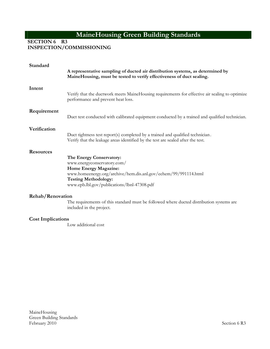**SECTION 6 R3** 

**INSPECTION/COMMISSIONING**

| Standard                 | A representative sampling of ducted air distribution systems, as determined by<br>MaineHousing, must be tested to verify effectiveness of duct sealing.                                                                           |
|--------------------------|-----------------------------------------------------------------------------------------------------------------------------------------------------------------------------------------------------------------------------------|
| Intent                   | Verify that the ductwork meets MaineHousing requirements for effective air sealing to optimize<br>performance and prevent heat loss.                                                                                              |
| Requirement              | Duct test conducted with calibrated equipment conducted by a trained and qualified technician.                                                                                                                                    |
| Verification             | Duct tightness test report(s) completed by a trained and qualified technician.<br>Verify that the leakage areas identified by the test are sealed after the test.                                                                 |
| <b>Resources</b>         | The Energy Conservatory:<br>www.energyconservatory.com/<br>Home Energy Magazine:<br>www.homeenergy.org/archive/hem.dis.anl.gov/eehem/99/991114.html<br><b>Testing Methodology:</b><br>www.epb.lbl.gov/publications/lbnl-47308.pdf |
| Rehab/Renovation         | The requirements of this standard must be followed where ducted distribution systems are<br>included in the project.                                                                                                              |
| <b>Cost Implications</b> | Low additional cost                                                                                                                                                                                                               |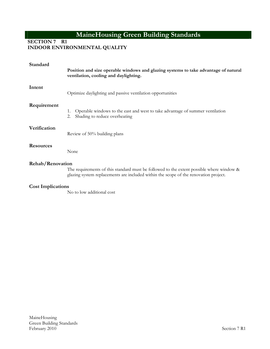**SECTION 7 R1** 

**INDOOR ENVIRONMENTAL QUALITY**

| Standard                 | Position and size operable windows and glazing systems to take advantage of natural<br>ventilation, cooling and daylighting.                                                        |
|--------------------------|-------------------------------------------------------------------------------------------------------------------------------------------------------------------------------------|
| Intent                   | Optimize daylighting and passive ventilation opportunities                                                                                                                          |
| Requirement              | Operable windows to the east and west to take advantage of summer ventilation<br>1.<br>Shading to reduce overheating<br>2.                                                          |
| Verification             | Review of 50% building plans                                                                                                                                                        |
| <b>Resources</b>         | None                                                                                                                                                                                |
| Rehab/Renovation         | The requirements of this standard must be followed to the extent possible where window $\&$<br>glazing system replacements are included within the scope of the renovation project. |
| <b>Cost Implications</b> | No to low additional cost                                                                                                                                                           |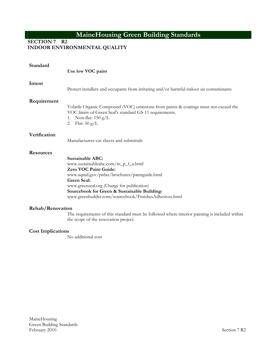**SECTION 7 R2** 

**INDOOR ENVIRONMENTAL QUALITY**

| Standard                 | Use low VOC paint                                                                                                                                                                                                                                                                                                     |
|--------------------------|-----------------------------------------------------------------------------------------------------------------------------------------------------------------------------------------------------------------------------------------------------------------------------------------------------------------------|
| Intent                   | Protect installers and occupants from irritating and/or harmful indoor air contaminants                                                                                                                                                                                                                               |
| Requirement              | Volatile Organic Compound (VOC) emissions from paints & coatings must not exceed the<br>VOC limits of Green Seal's standard GS-11 requirements.<br>Non-flat: $150 \text{ g/L}$<br>1.<br>Flat: $50 \text{ g/L}$<br>2.                                                                                                  |
| Verification             | Manufacturers cut sheets and submittals                                                                                                                                                                                                                                                                               |
| <b>Resources</b>         | <b>Sustainable ABC:</b><br>www.sustainableabc.com/m_p_f_a.html<br>Zero VOC Paint Guide:<br>www.aqmd.gov/prdas/brochures/paintguide.html<br><b>Green Seal:</b><br>www.greenseal.org (Charge for publication)<br>Sourcebook for Green & Sustainable Building:<br>www.greenbuilder.com/sourcebook/FinishesAdhesives.html |
| Rehab/Renovation         | The requirements of this standard must be followed where interior painting is included within<br>the scope of the renovation project.                                                                                                                                                                                 |
| <b>Cost Implications</b> |                                                                                                                                                                                                                                                                                                                       |

No additional cost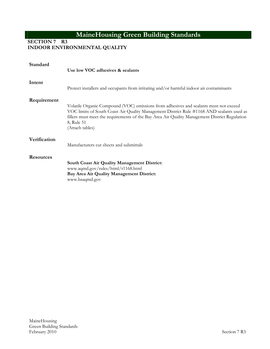**SECTION 7 R3** 

**INDOOR ENVIRONMENTAL QUALITY**

| Standard         |                                                                                                                                                                                                                                                                                                                      |
|------------------|----------------------------------------------------------------------------------------------------------------------------------------------------------------------------------------------------------------------------------------------------------------------------------------------------------------------|
|                  | Use low VOC adhesives & sealants                                                                                                                                                                                                                                                                                     |
| Intent           | Protect installers and occupants from irritating and/or harmful indoor air contaminants                                                                                                                                                                                                                              |
| Requirement      | Volatile Organic Compound (VOC) emissions from adhesives and sealants must not exceed<br>VOC limits of South Coast Air Quality Management District Rule #1168 AND sealants used as<br>fillers must meet the requirements of the Bay Area Air Quality Management District Regulation<br>8, Rule 51<br>(Attach tables) |
| Verification     | Manufacturers cut sheets and submittals                                                                                                                                                                                                                                                                              |
| <b>Resources</b> | <b>South Coast Air Quality Management District:</b><br>www.aqmd.gov/rules/html/r1168.html<br>Bay Area Air Quality Management District:<br>www.baaqmd.gov                                                                                                                                                             |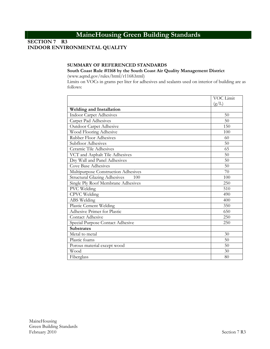**SECTION 7 R3** 

# **INDOOR ENVIRONMENTAL QUALITY**

#### **SUMMARY OF REFERENCED STANDARDS**

**South Coast Rule #1168 by the South Coast Air Quality Management District**

(www.aqmd.gov/rules/html/r1168.html)

Limits on VOCs in grams per liter for adhesives and sealants used on interior of building are as follows:

|                                     | VOC Limit |
|-------------------------------------|-----------|
|                                     | (g/L)     |
| <b>Welding and Installation</b>     |           |
| <b>Indoor Carpet Adhesives</b>      | 50        |
| Carpet Pad Adhesives                | 50        |
| Outdoor Carpet Adhesive             | 150       |
| Wood Flooring Adhesive              | 100       |
| <b>Rubber Floor Adhesives</b>       | 60        |
| Subfloor Adhesives                  | 50        |
| Ceramic Tile Adhesives              | 65        |
| VCT and Asphalt Tile Adhesives      | 50        |
| Dry Wall and Panel Adhesives        | 50        |
| Cove Base Adhesives                 | 50        |
| Multipurpose Construction Adhesives | 70        |
| Structural Glazing Adhesives<br>100 | 100       |
| Single Ply Roof Membrane Adhesives  | 250       |
| PVC Welding                         | 510       |
| CPVC Welding                        | 490       |
| ABS Welding                         | 400       |
| Plastic Cement Welding              | 350       |
| Adhesive Primer for Plastic         | 650       |
| Contact Adhesive                    | 250       |
| Special Purpose Contact Adhesive    | 250       |
| <b>Substrates</b>                   |           |
| Metal to metal                      | 30        |
| Plastic foams                       | 50        |
| Porous material except wood         | 50        |
| Wood                                | 30        |
| Fiberglass                          | 80        |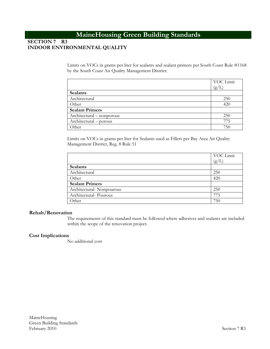### **SECTION 7 R3 INDOOR ENVIRONMENTAL QUALITY**

Limits on VOCs in grams per liter for sealants and sealant primers per South Coast Rule #1168 by the South Coast Air Quality Management District:

|                           | VOC Limit   |
|---------------------------|-------------|
|                           | $\rm (g/L)$ |
| <b>Sealants</b>           |             |
| Architectural             | 250         |
| Other                     | 420         |
| <b>Sealant Primers</b>    |             |
| Architectural – nonporous | 250         |
| Architectural – porous    | 775         |
| Other                     | 750         |

Limits on VOCs in grams per liter for Sealants used as Fillers per Bay Area Air Quality Management District, Reg. 8 Rule 51

|                          | VOC Limit |
|--------------------------|-----------|
|                          | (g/L)     |
| <b>Sealants</b>          |           |
| Architectural            | 250       |
| Other                    | 420       |
| <b>Sealant Primers</b>   |           |
| Architectural-Nonpourous | 250       |
| Architectural-Pourous    | 775       |
| Other                    | 750       |

#### **Rehab/Renovation**

The requirements of this standard must be followed where adhesives and sealants are included within the scope of the renovation project.

#### **Cost Implications**

No additional cost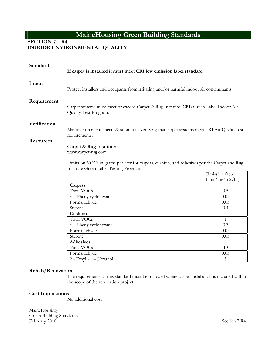**SECTION 7 R4** 

**INDOOR ENVIRONMENTAL QUALITY**

| Standard         | If carpet is installed it must meet CRI low emission label standard                                                                                                                     |              |  |  |
|------------------|-----------------------------------------------------------------------------------------------------------------------------------------------------------------------------------------|--------------|--|--|
| Intent           | Protect installers and occupants from irritating and/or harmful indoor air contaminants                                                                                                 |              |  |  |
| Requirement      | Carpet systems must meet or exceed Carpet & Rug Institute (CRI) Green Label Indoor Air<br>Quality Test Program.                                                                         |              |  |  |
| Verification     | Manufacturers cut sheets & submittals verifying that carpet systems meet CRI Air Quality test<br>requirements.                                                                          |              |  |  |
| <b>Resources</b> | Carpet & Rug Institute:<br>www.carpet-rug.com<br>Limits on VOCs in grams per liter for carpets, cushion, and adhesives per the Carpet and Rug<br>Institute Green Label Testing Program: |              |  |  |
|                  | Emission factor<br>$\lim$ it (mg/m2/hr)                                                                                                                                                 |              |  |  |
|                  | Carpets                                                                                                                                                                                 |              |  |  |
|                  | <b>Total VOCs</b>                                                                                                                                                                       | 0.5          |  |  |
|                  | 4 - Phenylcyclohexane                                                                                                                                                                   | 0.05         |  |  |
|                  | Formaldehyde                                                                                                                                                                            | 0.05         |  |  |
|                  | Styrene                                                                                                                                                                                 | 0.4          |  |  |
|                  | Cushion                                                                                                                                                                                 |              |  |  |
|                  | <b>Total VOCs</b>                                                                                                                                                                       | $\mathbf{1}$ |  |  |
|                  | 4-Phenylcyclohexane                                                                                                                                                                     | 0.3          |  |  |
|                  | Formaldehyde                                                                                                                                                                            | 0.05         |  |  |
|                  | Styrene                                                                                                                                                                                 | 0.05         |  |  |
|                  | <b>Adhesives</b>                                                                                                                                                                        |              |  |  |
|                  | Total VOCs                                                                                                                                                                              | 10           |  |  |
|                  | Formaldehyde                                                                                                                                                                            | 0.05         |  |  |
|                  | 2 - Ethyl - 1 - Hexanol                                                                                                                                                                 | 3            |  |  |
| Rehab/Renovation |                                                                                                                                                                                         |              |  |  |

The requirements of this standard must be followed where carpet installation is included within the scope of the renovation project.

#### **Cost Implications**

No additional cost

MaineHousing Green Building Standards February 2010 Section 7 R4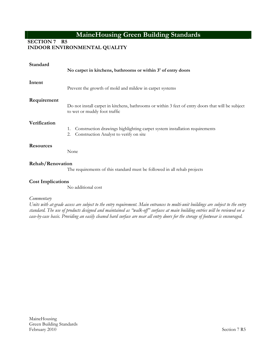**SECTION 7 R5** 

**INDOOR ENVIRONMENTAL QUALITY**

| Standard                 | No carpet in kitchens, bathrooms or within 3' of entry doors                                                                      |
|--------------------------|-----------------------------------------------------------------------------------------------------------------------------------|
| Intent                   | Prevent the growth of mold and mildew in carpet systems                                                                           |
| Requirement              | Do not install carpet in kitchens, bathrooms or within 3 feet of entry doors that will be subject<br>to wet or muddy foot traffic |
| Verification             | Construction drawings highlighting carpet system installation requirements<br>1.<br>Construction Analyst to verify on site<br>2.  |
| <b>Resources</b>         | None                                                                                                                              |
| Rehab/Renovation         | The requirements of this standard must be followed in all rehab projects                                                          |
| <b>Cost Implications</b> |                                                                                                                                   |

No additional cost

#### *Commentary*

*Units with at-grade access are subject to the entry requirement. Main entrances to multi-unit buildings are subject to the entry standard. The use of products designed and maintained as "walk-off" surfaces at main building entries will be reviewed on a case-by-case basis. Providing an easily cleaned hard surface are near all entry doors for the storage of footwear is encouraged.*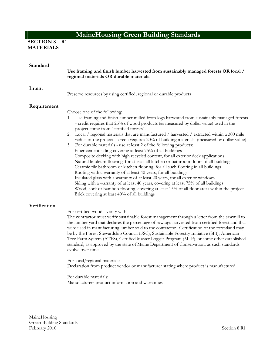### **SECTION 8 R1 MATERIALS**

| Standard     | Use framing and finish lumber harvested from sustainably managed forests OR local /<br>regional materials OR durable materials.                                                                                                                                                                                                                                                                                                                                                                                                                                                                                                                                                                                                                                                                                                                                                                                                                                                                                                                                                                                                                                                                                                                                      |
|--------------|----------------------------------------------------------------------------------------------------------------------------------------------------------------------------------------------------------------------------------------------------------------------------------------------------------------------------------------------------------------------------------------------------------------------------------------------------------------------------------------------------------------------------------------------------------------------------------------------------------------------------------------------------------------------------------------------------------------------------------------------------------------------------------------------------------------------------------------------------------------------------------------------------------------------------------------------------------------------------------------------------------------------------------------------------------------------------------------------------------------------------------------------------------------------------------------------------------------------------------------------------------------------|
| Intent       | Preserve resources by using certified, regional or durable products                                                                                                                                                                                                                                                                                                                                                                                                                                                                                                                                                                                                                                                                                                                                                                                                                                                                                                                                                                                                                                                                                                                                                                                                  |
| Requirement  | Choose one of the following:<br>1. Use framing and finish lumber milled from logs harvested from sustainably managed forests<br>- credit requires that 25% of wood products (as measured by dollar value) used in the<br>project come from "certified forests".<br>2. Local / regional materials that are manufactured / harvested / extracted within a 300 mile<br>radius of the project - credit requires 20% of building materials (measured by dollar value)<br>3. For durable materials - use at least 2 of the following products:<br>Fiber cement siding covering at least 75% of all buildings<br>Composite decking with high recycled content, for all exterior deck applications<br>Natural linoleum flooring, for at least all kitchen or bathroom floors of all buildings<br>Ceramic tile bathroom or kitchen flooring, for all such flooring in all buildings<br>Roofing with a warranty of at least 40 years, for all buildings<br>Insulated glass with a warranty of at least 20 years, for all exterior windows<br>Siding with a warranty of at least 40 years, covering at least 75% of all buildings<br>Wood, cork or bamboo flooring, covering at least 15% of all floor areas within the project<br>Brick covering at least 40% of all buildings |
| Verification | For certified wood - verify with:<br>The contractor must verify sustainable forest management through a letter from the sawmill to<br>the lumber yard that declares the percentage of sawlogs harvested from certified forestland that<br>were used in manufacturing lumber sold to the contractor. Certification of the forestland may<br>be by the Forest Stewardship Council (FSC), Sustainable Forestry Initiative (SFI), American<br>Tree Farm System (ATFS), Certified Master Logger Program (MLP), or some other established<br>standard, as approved by the state of Maine Department of Conservation, as such standards<br>evolve over time.<br>For local/regional materials:<br>Declaration from product vendor or manufacturer stating where product is manufactured<br>For durable materials:<br>Manufacturers product information and warranties                                                                                                                                                                                                                                                                                                                                                                                                        |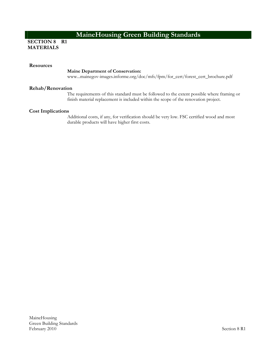### **SECTION 8 R1 MATERIALS**

#### **Resources**

#### **Maine Department of Conservation:**

www...mainegov-images.informe.org/doc/mfs/fpm/for\_cert/forest\_cert\_brochure.pdf

#### **Rehab/Renovation**

The requirements of this standard must be followed to the extent possible where framing or finish material replacement is included within the scope of the renovation project.

#### **Cost Implications**

Additional costs, if any, for verification should be very low. FSC certified wood and most durable products will have higher first costs.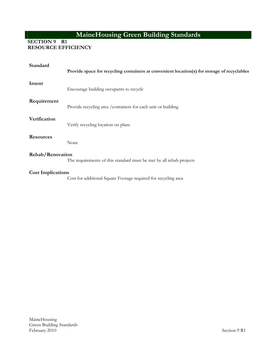### **SECTION 9 R1 RESOURCE EFFICIENCY**

| Standard                 | Provide space for recycling containers at convenient location(s) for storage of recyclables |
|--------------------------|---------------------------------------------------------------------------------------------|
| Intent                   | Encourage building occupants to recycle                                                     |
| Requirement              | Provide recycling area / containers for each unit or building                               |
| Verification             | Verify recycling location on plans                                                          |
| <b>Resources</b>         | None                                                                                        |
| Rehab/Renovation         | The requirements of this standard must be met by all rehab projects                         |
| <b>Cost Implications</b> | Cost for additional Square Footage required for recycling area                              |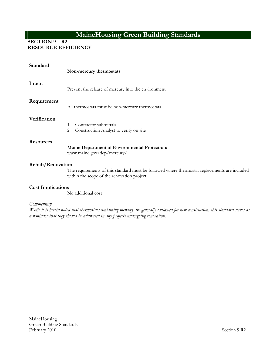**SECTION 9 R2** 

**RESOURCE EFFICIENCY**

| Standard         | Non-mercury thermostats                                                                                            |
|------------------|--------------------------------------------------------------------------------------------------------------------|
| Intent           | Prevent the release of mercury into the environment                                                                |
| Requirement      | All thermostats must be non-mercury thermostats                                                                    |
| Verification     | Contractor submittals<br>$1_{-}$<br>2.<br>Construction Analyst to verify on site                                   |
| <b>Resources</b> | <b>Maine Department of Environmental Protection:</b><br>www.maine.gov/dep/mercury/                                 |
| Rehab/Renovation | The requirements of this standard must be followed where thermostat<br>within the scope of the renovation project. |

### **Cost Implications**

No additional cost

*Commentary* 

*While it is herein noted that thermostats containing mercury are generally outlawed for new construction, this standard serves as a reminder that they should be addressed in any projects undergoing renovation.*

replacements are included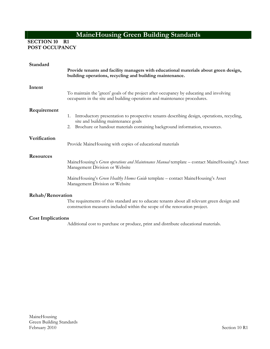**SECTION 10 R1 POST OCCUPANCY**

| Standard                 |                                                                                                                                                                            |
|--------------------------|----------------------------------------------------------------------------------------------------------------------------------------------------------------------------|
|                          | Provide tenants and facility managers with educational materials about green design,<br>building operations, recycling and building maintenance.                           |
| Intent                   | To maintain the 'green' goals of the project after occupancy by educating and involving                                                                                    |
|                          | occupants in the site and building operations and maintenance procedures.                                                                                                  |
| Requirement              |                                                                                                                                                                            |
|                          | 1. Introductory presentation to prospective tenants describing design, operations, recycling,<br>site and building maintenance goals                                       |
|                          | Brochure or handout materials containing background information, resources.<br>2.                                                                                          |
| Verification             |                                                                                                                                                                            |
|                          | Provide MaineHousing with copies of educational materials                                                                                                                  |
| <b>Resources</b>         |                                                                                                                                                                            |
|                          | MaineHousing's Green operations and Maintenance Manual template - contact MaineHousing's Asset<br>Management Division or Website                                           |
|                          | MaineHousing's Green Healthy Homes Guide template - contact MaineHousing's Asset<br>Management Division or Website                                                         |
| Rehab/Renovation         |                                                                                                                                                                            |
|                          | The requirements of this standard are to educate tenants about all relevant green design and<br>construction measures included within the scope of the renovation project. |
| <b>Cost Implications</b> |                                                                                                                                                                            |
|                          | Additional cost to purchase or produce, print and distribute educational materials.                                                                                        |